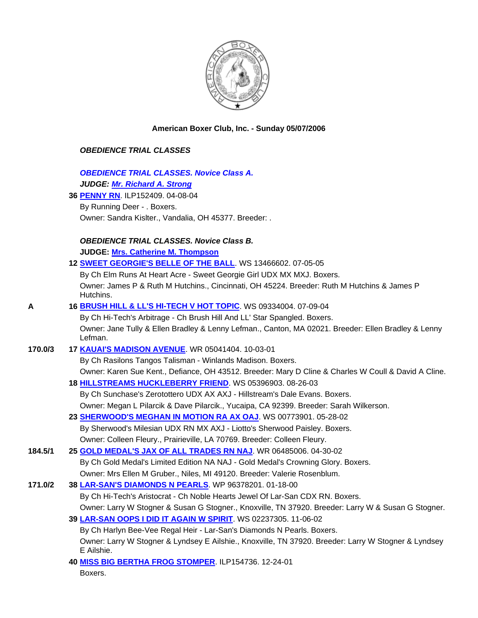

## **American Boxer Club, Inc. - Sunday 05/07/2006**

## *OBEDIENCE TRIAL CLASSES*

 *OBEDIENCE TRIAL CLASSES. Novice Class A. JUDGE: Mr. Richard A. Strong* 

**36 PENNY RN**. ILP152409. 04-08-04

 By Running Deer - . Boxers. Owner: Sandra Kislter., Vandalia, OH 45377. Breeder: .

## *OBEDIENCE TRIAL CLASSES. Novice Class B.*

**JUDGE: Mrs. Catherine M. Thompson** 

|         | 12 SWEET GEORGIE'S BELLE OF THE BALL. WS 13466602. 07-05-05                                                        |
|---------|--------------------------------------------------------------------------------------------------------------------|
|         | By Ch Elm Runs At Heart Acre - Sweet Georgie Girl UDX MX MXJ. Boxers.                                              |
|         | Owner: James P & Ruth M Hutchins., Cincinnati, OH 45224. Breeder: Ruth M Hutchins & James P<br>Hutchins.           |
| A       | 16 BRUSH HILL & LL'S HI-TECH V HOT TOPIC. WS 09334004. 07-09-04                                                    |
|         | By Ch Hi-Tech's Arbitrage - Ch Brush Hill And LL' Star Spangled. Boxers.                                           |
|         | Owner: Jane Tully & Ellen Bradley & Lenny Lefman., Canton, MA 02021. Breeder: Ellen Bradley & Lenny<br>Lefman.     |
| 170.0/3 | 17 KAUAI'S MADISON AVENUE. WR 05041404. 10-03-01                                                                   |
|         | By Ch Rasilons Tangos Talisman - Winlands Madison. Boxers.                                                         |
|         | Owner: Karen Sue Kent., Defiance, OH 43512. Breeder: Mary D Cline & Charles W Coull & David A Cline.               |
|         | 18 HILLSTREAMS HUCKLEBERRY FRIEND. WS 05396903. 08-26-03                                                           |
|         | By Ch Sunchase's Zerotottero UDX AX AXJ - Hillstream's Dale Evans. Boxers.                                         |
|         | Owner: Megan L Pilarcik & Dave Pilarcik., Yucaipa, CA 92399. Breeder: Sarah Wilkerson.                             |
|         | 23 SHERWOOD'S MEGHAN IN MOTION RA AX OAJ. WS 00773901. 05-28-02                                                    |
|         | By Sherwood's Milesian UDX RN MX AXJ - Liotto's Sherwood Paisley. Boxers.                                          |
|         | Owner: Colleen Fleury., Prairieville, LA 70769. Breeder: Colleen Fleury.                                           |
| 184.5/1 | 25 GOLD MEDAL'S JAX OF ALL TRADES RN NAJ. WR 06485006. 04-30-02                                                    |
|         | By Ch Gold Medal's Limited Edition NA NAJ - Gold Medal's Crowning Glory. Boxers.                                   |
|         | Owner: Mrs Ellen M Gruber., Niles, MI 49120. Breeder: Valerie Rosenblum.                                           |
| 171.0/2 | 38 LAR-SAN'S DIAMONDS N PEARLS. WP 96378201. 01-18-00                                                              |
|         | By Ch Hi-Tech's Aristocrat - Ch Noble Hearts Jewel Of Lar-San CDX RN. Boxers.                                      |
|         | Owner: Larry W Stogner & Susan G Stogner., Knoxville, TN 37920. Breeder: Larry W & Susan G Stogner.                |
|         | 39 LAR-SAN OOPS I DID IT AGAIN W SPIRIT. WS 02237305. 11-06-02                                                     |
|         | By Ch Harlyn Bee-Vee Regal Heir - Lar-San's Diamonds N Pearls. Boxers.                                             |
|         | Owner: Larry W Stogner & Lyndsey E Ailshie., Knoxville, TN 37920. Breeder: Larry W Stogner & Lyndsey<br>E Ailshie. |
|         | <u>IA MICO DIO DEDTILA EDOO CTOMBED. ILDIE 1700. IO 01.01.</u>                                                     |

 **40 MISS BIG BERTHA FROG STOMPER**. ILP154736. 12-24-01 Boxers.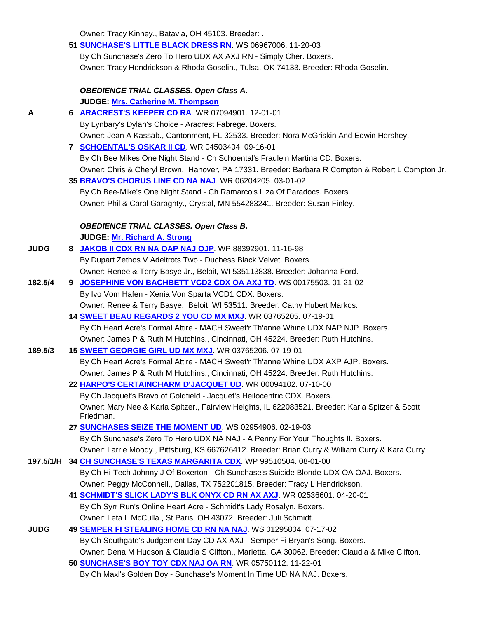Owner: Tracy Kinney., Batavia, OH 45103. Breeder: .

|             | 51 SUNCHASE'S LITTLE BLACK DRESS RN. WS 06967006. 11-20-03                                                    |  |
|-------------|---------------------------------------------------------------------------------------------------------------|--|
|             | By Ch Sunchase's Zero To Hero UDX AX AXJ RN - Simply Cher. Boxers.                                            |  |
|             | Owner: Tracy Hendrickson & Rhoda Goselin., Tulsa, OK 74133. Breeder: Rhoda Goselin.                           |  |
|             | <b>OBEDIENCE TRIAL CLASSES. Open Class A.</b>                                                                 |  |
|             | JUDGE: Mrs. Catherine M. Thompson                                                                             |  |
| A           | 6 ARACREST'S KEEPER CD RA. WR 07094901. 12-01-01                                                              |  |
|             | By Lynbary's Dylan's Choice - Aracrest Fabrege. Boxers.                                                       |  |
|             | Owner: Jean A Kassab., Cantonment, FL 32533. Breeder: Nora McGriskin And Edwin Hershey.                       |  |
|             | 7 SCHOENTAL'S OSKAR II CD. WR 04503404. 09-16-01                                                              |  |
|             | By Ch Bee Mikes One Night Stand - Ch Schoental's Fraulein Martina CD. Boxers.                                 |  |
|             | Owner: Chris & Cheryl Brown., Hanover, PA 17331. Breeder: Barbara R Compton & Robert L Compton Jr.            |  |
|             | 35 BRAVO'S CHORUS LINE CD NA NAJ. WR 06204205. 03-01-02                                                       |  |
|             | By Ch Bee-Mike's One Night Stand - Ch Ramarco's Liza Of Paradocs. Boxers.                                     |  |
|             | Owner: Phil & Carol Garaghty., Crystal, MN 554283241. Breeder: Susan Finley.                                  |  |
|             | <b>OBEDIENCE TRIAL CLASSES. Open Class B.</b>                                                                 |  |
|             | <b>JUDGE: Mr. Richard A. Strong</b>                                                                           |  |
| <b>JUDG</b> | 8 JAKOB II CDX RN NA OAP NAJ OJP. WP 88392901. 11-16-98                                                       |  |
|             | By Dupart Zethos V Adeltrots Two - Duchess Black Velvet. Boxers.                                              |  |
|             | Owner: Renee & Terry Basye Jr., Beloit, WI 535113838. Breeder: Johanna Ford.                                  |  |
| 182.5/4     | 9 JOSEPHINE VON BACHBETT VCD2 CDX OA AXJ TD. WS 00175503. 01-21-02                                            |  |
|             | By Ivo Vom Hafen - Xenia Von Sparta VCD1 CDX. Boxers.                                                         |  |
|             | Owner: Renee & Terry Basye., Beloit, WI 53511. Breeder: Cathy Hubert Markos.                                  |  |
|             | 14 <b>SWEET BEAU REGARDS 2 YOU CD MX MXJ</b> . WR 03765205. 07-19-01                                          |  |
|             | By Ch Heart Acre's Formal Attire - MACH Sweet'r Th'anne Whine UDX NAP NJP. Boxers.                            |  |
|             | Owner: James P & Ruth M Hutchins., Cincinnati, OH 45224. Breeder: Ruth Hutchins.                              |  |
| 189.5/3     | 15 <b>SWEET GEORGIE GIRL UD MX MXJ</b> . WR 03765206. 07-19-01                                                |  |
|             | By Ch Heart Acre's Formal Attire - MACH Sweet'r Th'anne Whine UDX AXP AJP. Boxers.                            |  |
|             | Owner: James P & Ruth M Hutchins., Cincinnati, OH 45224. Breeder: Ruth Hutchins.                              |  |
|             | 22 HARPO'S CERTAINCHARM D'JACQUET UD. WR 00094102. 07-10-00                                                   |  |
|             | By Ch Jacquet's Bravo of Goldfield - Jacquet's Heilocentric CDX. Boxers.                                      |  |
|             | Owner: Mary Nee & Karla Spitzer., Fairview Heights, IL 622083521. Breeder: Karla Spitzer & Scott<br>Friedman. |  |
|             | 27 SUNCHASES SEIZE THE MOMENT UD. WS 02954906. 02-19-03                                                       |  |
|             | By Ch Sunchase's Zero To Hero UDX NA NAJ - A Penny For Your Thoughts II. Boxers.                              |  |
|             | Owner: Larrie Moody., Pittsburg, KS 667626412. Breeder: Brian Curry & William Curry & Kara Curry.             |  |
|             | 1 <b>97.5/1/H 34 <u>CH SUNCHASE'S TEXAS MARGARITA CDX</u>. WP 99510504. 08-01-00</b>                          |  |
|             | By Ch Hi-Tech Johnny J Of Boxerton - Ch Sunchase's Suicide Blonde UDX OA OAJ. Boxers.                         |  |
|             | Owner: Peggy McConnell., Dallas, TX 752201815. Breeder: Tracy L Hendrickson.                                  |  |
|             | 41 SCHMIDT'S SLICK LADY'S BLK ONYX CD RN AX AXJ. WR 02536601. 04-20-01                                        |  |
|             | By Ch Syrr Run's Online Heart Acre - Schmidt's Lady Rosalyn. Boxers.                                          |  |
|             | Owner: Leta L McCulla., St Paris, OH 43072. Breeder: Juli Schmidt.                                            |  |
| <b>JUDG</b> | 49 SEMPER FI STEALING HOME CD RN NA NAJ. WS 01295804. 07-17-02                                                |  |
|             | By Ch Southgate's Judgement Day CD AX AXJ - Semper Fi Bryan's Song. Boxers.                                   |  |
|             | Owner: Dena M Hudson & Claudia S Clifton., Marietta, GA 30062. Breeder: Claudia & Mike Clifton.               |  |
|             | 50 SUNCHASE'S BOY TOY CDX NAJ OA RN. WR 05750112. 11-22-01                                                    |  |

By Ch Maxl's Golden Boy - Sunchase's Moment In Time UD NA NAJ. Boxers.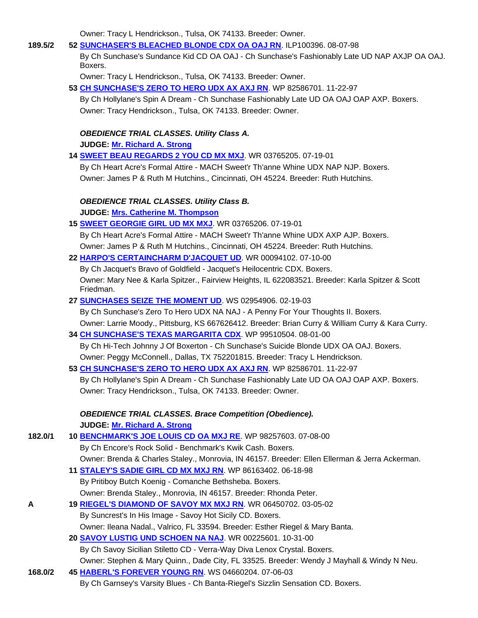Owner: Tracy L Hendrickson., Tulsa, OK 74133. Breeder: Owner.

| 189.5/2 | 52 SUNCHASER'S BLEACHED BLONDE CDX OA OAJ RN. ILP100396. 08-07-98                                       |
|---------|---------------------------------------------------------------------------------------------------------|
|         | By Ch Sunchase's Sundance Kid CD OA OAJ - Ch Sunchase's Fashionably Late UD NAP AXJP OA OAJ.<br>Boxers. |
|         | Owner: Tracy L Hendrickson., Tulsa, OK 74133. Breeder: Owner.                                           |
|         | 53 CH SUNCHASE'S ZERO TO HERO UDX AX AXJ RN. WP 82586701. 11-22-97                                      |
|         | By Ch Hollylane's Spin A Dream - Ch Sunchase Fashionably Late UD OA OAJ OAP AXP. Boxers.                |
|         | Owner: Tracy Hendrickson., Tulsa, OK 74133. Breeder: Owner.                                             |
|         | <b>OBEDIENCE TRIAL CLASSES. Utility Class A.</b>                                                        |
|         | JUDGE: Mr. Richard A. Strong                                                                            |
|         | 14 SWEET BEAU REGARDS 2 YOU CD MX MXJ. WR 03765205. 07-19-01                                            |
|         | By Ch Heart Acre's Formal Attire - MACH Sweet'r Th'anne Whine UDX NAP NJP. Boxers.                      |
|         | Owner: James P & Ruth M Hutchins., Cincinnati, OH 45224. Breeder: Ruth Hutchins.                        |
|         | <b>OBEDIENCE TRIAL CLASSES. Utility Class B.</b>                                                        |
|         | JUDGE: Mrs. Catherine M. Thompson                                                                       |
|         | 15 <b>SWEET GEORGIE GIRL UD MX MXJ</b> . WR 03765206. 07-19-01                                          |
|         | By Ch Heart Acre's Formal Attire - MACH Sweet'r Th'anne Whine UDX AXP AJP. Boxers.                      |
|         | Owner: James P & Ruth M Hutchins., Cincinnati, OH 45224. Breeder: Ruth Hutchins.                        |
|         | 22 HARPO'S CERTAINCHARM D'JACQUET UD WR 00094102.07-10-00                                               |
|         | By Ch Jacquet's Bravo of Goldfield - Jacquet's Heilocentric CDX. Boxers.                                |
|         | Owner: Mary Nee & Karla Spitzer., Fairview Heights, IL 622083521. Breeder: Karla Spitzer & Scott        |
|         | Friedman.                                                                                               |
|         | 27 SUNCHASES SEIZE THE MOMENT UD. WS 02954906. 02-19-03                                                 |
|         | By Ch Sunchase's Zero To Hero UDX NA NAJ - A Penny For Your Thoughts II. Boxers.                        |
|         | Owner: Larrie Moody., Pittsburg, KS 667626412. Breeder: Brian Curry & William Curry & Kara Curry.       |
|         | 34 CH SUNCHASE'S TEXAS MARGARITA CDX. WP 99510504.08-01-00                                              |
|         | By Ch Hi-Tech Johnny J Of Boxerton - Ch Sunchase's Suicide Blonde UDX OA OAJ. Boxers.                   |
|         | Owner: Peggy McConnell., Dallas, TX 752201815. Breeder: Tracy L Hendrickson.                            |
|         | 53 CH SUNCHASE'S ZERO TO HERO UDX AX AXJ RN. WP 82586701. 11-22-97                                      |
|         | By Ch Hollylane's Spin A Dream - Ch Sunchase Fashionably Late UD OA OAJ OAP AXP. Boxers.                |
|         | Owner: Tracy Hendrickson., Tulsa, OK 74133. Breeder: Owner.                                             |
|         | <b>OBEDIENCE TRIAL CLASSES. Brace Competition (Obedience).</b>                                          |
|         | JUDGE: Mr. Richard A. Strong                                                                            |
| 182.0/1 | 10 BENCHMARK'S JOE LOUIS CD OA MXJ RE. WP 98257603. 07-08-00                                            |
|         | By Ch Encore's Rock Solid - Benchmark's Kwik Cash. Boxers.                                              |
|         | Owner: Brenda & Charles Staley., Monrovia, IN 46157. Breeder: Ellen Ellerman & Jerra Ackerman.          |
|         | 11 STALEY'S SADIE GIRL CD MX MXJ RN. WP 86163402. 06-18-98                                              |
|         | By Pritiboy Butch Koenig - Comanche Bethsheba. Boxers.                                                  |
|         | Owner: Brenda Staley., Monrovia, IN 46157. Breeder: Rhonda Peter.                                       |
| A       | 19 RIEGEL'S DIAMOND OF SAVOY MX MXJ RN. WR 06450702. 03-05-02                                           |
|         | By Suncrest's In His Image - Savoy Hot Sicily CD. Boxers.                                               |
|         | Owner: Ileana Nadal., Valrico, FL 33594. Breeder: Esther Riegel & Mary Banta.                           |
|         | 20 SAVOY LUSTIG UND SCHOEN NA NAJ. WR 00225601. 10-31-00                                                |
|         | By Ch Savoy Sicilian Stiletto CD - Verra-Way Diva Lenox Crystal. Boxers.                                |
|         | Owner: Stephen & Mary Quinn., Dade City, FL 33525. Breeder: Wendy J Mayhall & Windy N Neu.              |
| 168.0/2 | 45 HABERL'S FOREVER YOUNG RN. WS 04660204. 07-06-03                                                     |
|         | By Ch Garnsey's Varsity Blues - Ch Banta-Riegel's Sizzlin Sensation CD. Boxers.                         |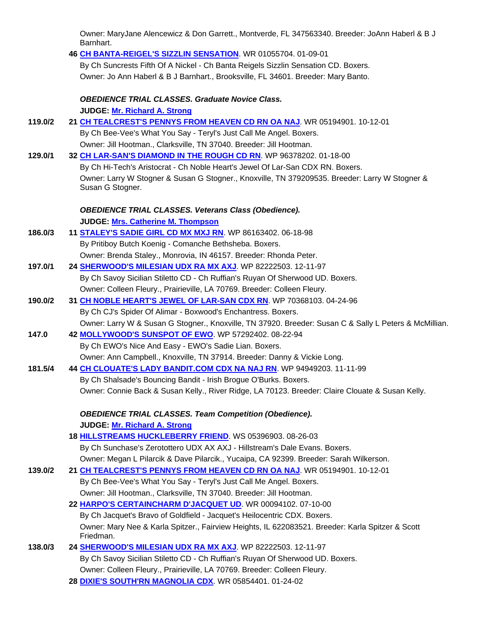| Owner: MaryJane Alencewicz & Don Garrett., Montverde, FL 347563340. Breeder: JoAnn Haberl & B J<br>Barnhart. |
|--------------------------------------------------------------------------------------------------------------|
| 46 CH BANTA-REIGEL'S SIZZLIN SENSATION. WR 01055704. 01-09-01                                                |
| By Ch Suncrests Fifth Of A Nickel - Ch Banta Reigels Sizzlin Sensation CD. Boxers.                           |
| Owner: Jo Ann Haberl & B J Barnhart., Brooksville, FL 34601. Breeder: Mary Banto.                            |
|                                                                                                              |
| <b>OBEDIENCE TRIAL CLASSES. Graduate Novice Class.</b>                                                       |
| JUDGE: Mr. Richard A. Strong                                                                                 |
| 21 CH TEALCREST'S PENNYS FROM HEAVEN CD RN OA NAJ. WR 05194901. 10-12-01                                     |
| By Ch Bee-Vee's What You Say - Teryl's Just Call Me Angel. Boxers.                                           |
| Owner: Jill Hootman., Clarksville, TN 37040. Breeder: Jill Hootman.                                          |
| 32 CH LAR-SAN'S DIAMOND IN THE ROUGH CD RN. WP 96378202. 01-18-00                                            |
| By Ch Hi-Tech's Aristocrat - Ch Noble Heart's Jewel Of Lar-San CDX RN. Boxers.                               |
| Owner: Larry W Stogner & Susan G Stogner., Knoxville, TN 379209535. Breeder: Larry W Stogner &               |
| Susan G Stogner.                                                                                             |
| <b>OBEDIENCE TRIAL CLASSES. Veterans Class (Obedience).</b>                                                  |
| JUDGE: Mrs. Catherine M. Thompson                                                                            |
| 11 <b>STALEY'S SADIE GIRL CD MX MXJ RN</b> . WP 86163402. 06-18-98                                           |
| By Pritiboy Butch Koenig - Comanche Bethsheba. Boxers.                                                       |
| Owner: Brenda Staley., Monrovia, IN 46157. Breeder: Rhonda Peter.                                            |
| 24 SHERWOOD'S MILESIAN UDX RA MX AXJ WP 82222503. 12-11-97                                                   |
| By Ch Savoy Sicilian Stiletto CD - Ch Ruffian's Ruyan Of Sherwood UD. Boxers.                                |
| Owner: Colleen Fleury., Prairieville, LA 70769. Breeder: Colleen Fleury.                                     |
| 31 CH NOBLE HEART'S JEWEL OF LAR-SAN CDX RN. WP 70368103. 04-24-96                                           |
| By Ch CJ's Spider Of Alimar - Boxwood's Enchantress. Boxers.                                                 |
| Owner: Larry W & Susan G Stogner., Knoxville, TN 37920. Breeder: Susan C & Sally L Peters & McMillian.       |
| 42 MOLLYWOOD'S SUNSPOT OF EWO. WP 57292402. 08-22-94                                                         |
| By Ch EWO's Nice And Easy - EWO's Sadie Lian. Boxers.                                                        |
| Owner: Ann Campbell., Knoxville, TN 37914. Breeder: Danny & Vickie Long.                                     |
| 44 CH CLOUATE'S LADY BANDIT.COM CDX NA NAJ RN. WP 94949203. 11-11-99                                         |
| By Ch Shalsade's Bouncing Bandit - Irish Brogue O'Burks. Boxers.                                             |
| Owner: Connie Back & Susan Kelly., River Ridge, LA 70123. Breeder: Claire Clouate & Susan Kelly.             |
|                                                                                                              |
| <b>OBEDIENCE TRIAL CLASSES. Team Competition (Obedience).</b>                                                |
| JUDGE: Mr. Richard A. Strong                                                                                 |
| 18 HILLSTREAMS HUCKLEBERRY FRIEND. WS 05396903. 08-26-03                                                     |
| By Ch Sunchase's Zerotottero UDX AX AXJ - Hillstream's Dale Evans. Boxers.                                   |
| Owner: Megan L Pilarcik & Dave Pilarcik., Yucaipa, CA 92399. Breeder: Sarah Wilkerson.                       |

| 139.0/2 | 21 CH TEALCREST'S PENNYS FROM HEAVEN CD RN OA NAJ. WR 05194901. 10-12-01                                      |
|---------|---------------------------------------------------------------------------------------------------------------|
|         | By Ch Bee-Vee's What You Say - Teryl's Just Call Me Angel. Boxers.                                            |
|         | Owner: Jill Hootman., Clarksville, TN 37040. Breeder: Jill Hootman.                                           |
|         | 22 HARPO'S CERTAINCHARM D'JACQUET UD. WR 00094102. 07-10-00                                                   |
|         | By Ch Jacquet's Bravo of Goldfield - Jacquet's Heilocentric CDX. Boxers.                                      |
|         | Owner: Mary Nee & Karla Spitzer., Fairview Heights, IL 622083521. Breeder: Karla Spitzer & Scott<br>Friedman. |
| 138.0/3 | 24 SHERWOOD'S MILESIAN UDX RA MX AXJ. WP 82222503. 12-11-97                                                   |

 By Ch Savoy Sicilian Stiletto CD - Ch Ruffian's Ruyan Of Sherwood UD. Boxers. Owner: Colleen Fleury., Prairieville, LA 70769. Breeder: Colleen Fleury. **28 DIXIE'S SOUTH'RN MAGNOLIA CDX**. WR 05854401. 01-24-02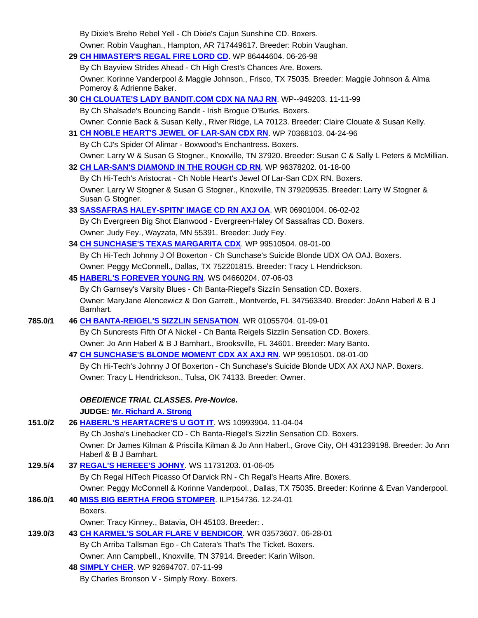|         | By Dixie's Breho Rebel Yell - Ch Dixie's Cajun Sunshine CD. Boxers.                                                             |
|---------|---------------------------------------------------------------------------------------------------------------------------------|
|         | Owner: Robin Vaughan., Hampton, AR 717449617. Breeder: Robin Vaughan.                                                           |
|         | 29 CH HIMASTER'S REGAL FIRE LORD CD. WP 86444604. 06-26-98                                                                      |
|         | By Ch Bayview Strides Ahead - Ch High Crest's Chances Are. Boxers.                                                              |
|         | Owner: Korinne Vanderpool & Maggie Johnson., Frisco, TX 75035. Breeder: Maggie Johnson & Alma<br>Pomeroy & Adrienne Baker.      |
|         | 30 CH CLOUATE'S LADY BANDIT.COM CDX NA NAJ RN. WP--949203. 11-11-99                                                             |
|         | By Ch Shalsade's Bouncing Bandit - Irish Brogue O'Burks. Boxers.                                                                |
|         | Owner: Connie Back & Susan Kelly., River Ridge, LA 70123. Breeder: Claire Clouate & Susan Kelly.                                |
|         | 31 CH NOBLE HEART'S JEWEL OF LAR-SAN CDX RN. WP 70368103. 04-24-96                                                              |
|         | By Ch CJ's Spider Of Alimar - Boxwood's Enchantress. Boxers.                                                                    |
|         | Owner: Larry W & Susan G Stogner., Knoxville, TN 37920. Breeder: Susan C & Sally L Peters & McMillian.                          |
|         | 32 CH LAR-SAN'S DIAMOND IN THE ROUGH CD RN. WP 96378202. 01-18-00                                                               |
|         | By Ch Hi-Tech's Aristocrat - Ch Noble Heart's Jewel Of Lar-San CDX RN. Boxers.                                                  |
|         | Owner: Larry W Stogner & Susan G Stogner., Knoxville, TN 379209535. Breeder: Larry W Stogner &<br>Susan G Stogner.              |
|         | 33 SASSAFRAS HALEY-SPITN' IMAGE CD RN AXJ OA. WR 06901004. 06-02-02                                                             |
|         | By Ch Evergreen Big Shot Elanwood - Evergreen-Haley Of Sassafras CD. Boxers.                                                    |
|         | Owner: Judy Fey., Wayzata, MN 55391. Breeder: Judy Fey.                                                                         |
|         | 34 CH SUNCHASE'S TEXAS MARGARITA CDX. WP 99510504. 08-01-00                                                                     |
|         | By Ch Hi-Tech Johnny J Of Boxerton - Ch Sunchase's Suicide Blonde UDX OA OAJ. Boxers.                                           |
|         | Owner: Peggy McConnell., Dallas, TX 752201815. Breeder: Tracy L Hendrickson.                                                    |
|         | 45 HABERL'S FOREVER YOUNG RN. WS 04660204. 07-06-03                                                                             |
|         | By Ch Garnsey's Varsity Blues - Ch Banta-Riegel's Sizzlin Sensation CD. Boxers.                                                 |
|         | Owner: MaryJane Alencewicz & Don Garrett., Montverde, FL 347563340. Breeder: JoAnn Haberl & B J<br>Barnhart.                    |
| 785.0/1 | 46 CH BANTA-REIGEL'S SIZZLIN SENSATION. WR 01055704. 01-09-01                                                                   |
|         | By Ch Suncrests Fifth Of A Nickel - Ch Banta Reigels Sizzlin Sensation CD. Boxers.                                              |
|         | Owner: Jo Ann Haberl & B J Barnhart., Brooksville, FL 34601. Breeder: Mary Banto.                                               |
|         | 47 CH SUNCHASE'S BLONDE MOMENT CDX AX AXJ RN. WP 99510501. 08-01-00                                                             |
|         | By Ch Hi-Tech's Johnny J Of Boxerton - Ch Sunchase's Suicide Blonde UDX AX AXJ NAP. Boxers.                                     |
|         | Owner: Tracy L Hendrickson., Tulsa, OK 74133. Breeder: Owner.                                                                   |
|         | <b>OBEDIENCE TRIAL CLASSES. Pre-Novice.</b>                                                                                     |
|         | JUDGE: Mr. Richard A. Strong                                                                                                    |
| 151.0/2 | 26 HABERL'S HEARTACRE'S U GOT IT. WS 10993904. 11-04-04                                                                         |
|         | By Ch Josha's Linebacker CD - Ch Banta-Riegel's Sizzlin Sensation CD. Boxers.                                                   |
|         | Owner: Dr James Kilman & Priscilla Kilman & Jo Ann Haberl., Grove City, OH 431239198. Breeder: Jo Ann<br>Haberl & B J Barnhart. |
| 129.5/4 | 37 REGAL'S HEREEE'S JOHNY. WS 11731203. 01-06-05                                                                                |
|         | By Ch Regal HiTech Picasso Of Darvick RN - Ch Regal's Hearts Afire. Boxers.                                                     |
|         | Owner: Peggy McConnell & Korinne Vanderpool., Dallas, TX 75035. Breeder: Korinne & Evan Vanderpool.                             |
| 186.0/1 | 40 MISS BIG BERTHA FROG STOMPER. ILP154736. 12-24-01                                                                            |
|         | Boxers.                                                                                                                         |
|         | Owner: Tracy Kinney., Batavia, OH 45103. Breeder: .                                                                             |
| 139.0/3 | 43 CH KARMEL'S SOLAR FLARE V BENDICOR. WR 03573607. 06-28-01                                                                    |
|         | By Ch Arriba Tallsman Ego - Ch Catera's That's The Ticket. Boxers.                                                              |
|         | Owner: Ann Campbell., Knoxville, TN 37914. Breeder: Karin Wilson.                                                               |
|         | 48 SIMPLY CHER. WP 92694707. 07-11-99                                                                                           |
|         | By Charles Bronson V - Simply Roxy. Boxers.                                                                                     |